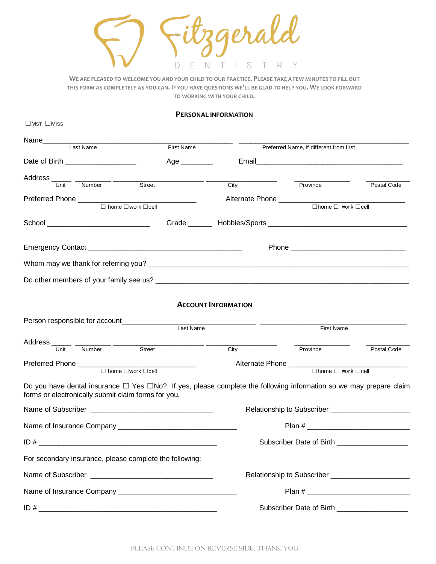jerald  $\Box$  $\mathbb{N}$ S T R E  $T \cdot 1$ Y

**WE ARE PLEASED TO WELCOME YOU AND YOUR CHILD TO OUR PRACTICE. PLEASE TAKE A FEW MINUTES TO FILL OUT THIS FORM AS COMPLETELY AS YOU CAN. IF YOU HAVE QUESTIONS WE'LL BE GLAD TO HELP YOU. WE LOOK FORWARD TO WORKING WITH YOUR CHILD.**

## **PERSONAL INFORMATION**

| $\Box$ MST $\Box$ MISS                                                                                                                                                              |                                                 |                                                    |                                         |             |
|-------------------------------------------------------------------------------------------------------------------------------------------------------------------------------------|-------------------------------------------------|----------------------------------------------------|-----------------------------------------|-------------|
| Last Name                                                                                                                                                                           | First Name                                      |                                                    | Preferred Name, if different from first |             |
| Date of Birth ___________________                                                                                                                                                   | Age _________                                   |                                                    |                                         |             |
|                                                                                                                                                                                     | <u> 1989 - Johann Johann Harrison, markin f</u> |                                                    |                                         |             |
| Address Unit Number Street                                                                                                                                                          |                                                 | City                                               | - Province                              | Postal Code |
| $\Box$ home $\Box$ work $\Box$ cell                                                                                                                                                 |                                                 |                                                    | $\Box$ home $\Box$ work $\Box$ cell     |             |
|                                                                                                                                                                                     |                                                 |                                                    |                                         |             |
|                                                                                                                                                                                     |                                                 |                                                    |                                         |             |
|                                                                                                                                                                                     |                                                 |                                                    |                                         |             |
|                                                                                                                                                                                     |                                                 |                                                    |                                         |             |
|                                                                                                                                                                                     |                                                 |                                                    |                                         |             |
|                                                                                                                                                                                     |                                                 |                                                    |                                         |             |
|                                                                                                                                                                                     |                                                 | <b>ACCOUNT INFORMATION</b>                         |                                         |             |
| Person responsible for account_______________                                                                                                                                       |                                                 |                                                    |                                         |             |
|                                                                                                                                                                                     | Last Name                                       |                                                    | <b>First Name</b>                       |             |
| Address Unit Number Street                                                                                                                                                          |                                                 | City                                               | Province                                | Postal Code |
|                                                                                                                                                                                     |                                                 | Alternate Phone ___________                        |                                         |             |
| $\Box$ home $\Box$ work $\Box$ cell                                                                                                                                                 |                                                 |                                                    | $\Box$ home $\Box$ work $\Box$ cell     |             |
| Do you have dental insurance $\Box$ Yes $\Box$ No? If yes, please complete the following information so we may prepare claim<br>forms or electronically submit claim forms for you. |                                                 |                                                    |                                         |             |
|                                                                                                                                                                                     |                                                 | Relationship to Subscriber _______________________ |                                         |             |
|                                                                                                                                                                                     |                                                 |                                                    |                                         |             |
|                                                                                                                                                                                     |                                                 | Subscriber Date of Birth ____________________      |                                         |             |
| For secondary insurance, please complete the following:                                                                                                                             |                                                 |                                                    |                                         |             |
|                                                                                                                                                                                     |                                                 |                                                    |                                         |             |
|                                                                                                                                                                                     |                                                 |                                                    |                                         |             |
|                                                                                                                                                                                     |                                                 | Subscriber Date of Birth ___________________       |                                         |             |